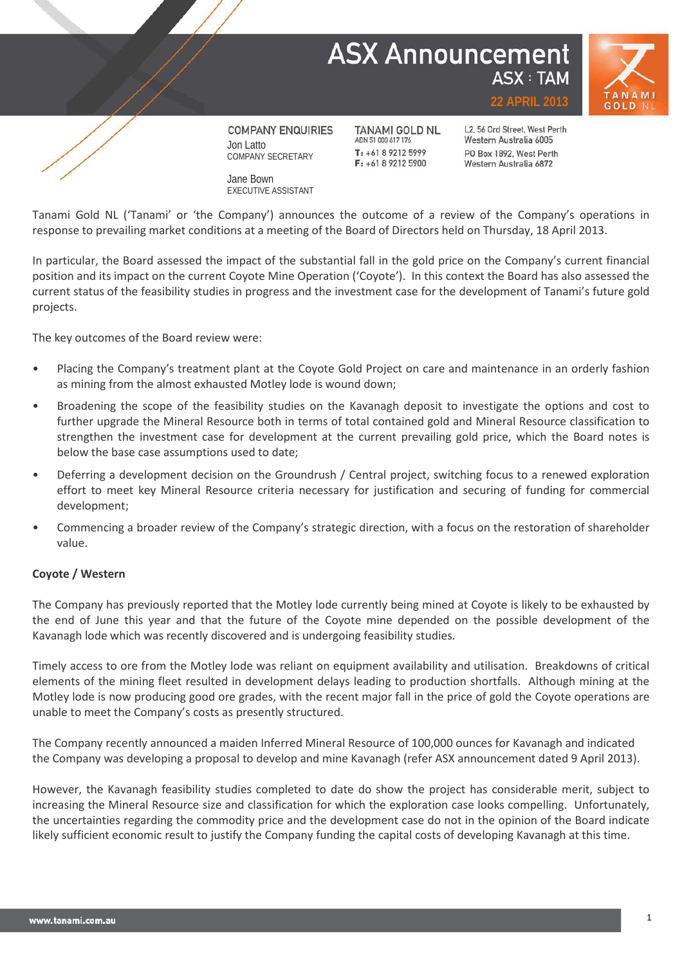# **ASX Announcement ASX: TAM**





**COMPANY ENQUIRIES** Jon Latto COMPANY SECRETARY

Jane Bown EXECUTIVE ASSISTANT

**TANAMI GOLD NL** ABN 51 000 617 176  $T: +61892125999$  $F: +61892125900$ 

L2, 56 Ord Street, West Perth Western Australia 6005 PO Box 1892, West Perth Western Australia 6872

**22 APRIL 2013**

Tanami Gold NL ('Tanami' or 'the Company') announces the outcome of a review of the Company's operations in response to prevailing market conditions at a meeting of the Board of Directors held on Thursday, 18 April 2013.

In particular, the Board assessed the impact of the substantial fall in the gold price on the Company's current financial position and its impact on the current Coyote Mine Operation ('Coyote'). In this context the Board has also assessed the current status of the feasibility studies in progress and the investment case for the development of Tanami's future gold projects.

The key outcomes of the Board review were:

- Placing the Company's treatment plant at the Coyote Gold Project on care and maintenance in an orderly fashion as mining from the almost exhausted Motley lode is wound down;
- Broadening the scope of the feasibility studies on the Kavanagh deposit to investigate the options and cost to further upgrade the Mineral Resource both in terms of total contained gold and Mineral Resource classification to strengthen the investment case for development at the current prevailing gold price, which the Board notes is below the base case assumptions used to date;
- Deferring a development decision on the Groundrush / Central project, switching focus to a renewed exploration effort to meet key Mineral Resource criteria necessary for justification and securing of funding for commercial development;
- Commencing a broader review of the Company's strategic direction, with a focus on the restoration of shareholder value.

### **Coyote / Western**

The Company has previously reported that the Motley lode currently being mined at Coyote is likely to be exhausted by the end of June this year and that the future of the Coyote mine depended on the possible development of the Kavanagh lode which was recently discovered and is undergoing feasibility studies.

Timely access to ore from the Motley lode was reliant on equipment availability and utilisation. Breakdowns of critical elements of the mining fleet resulted in development delays leading to production shortfalls. Although mining at the Motley lode is now producing good ore grades, with the recent major fall in the price of gold the Coyote operations are unable to meet the Company's costs as presently structured.

The Company recently announced a maiden Inferred Mineral Resource of 100,000 ounces for Kavanagh and indicated the Company was developing a proposal to develop and mine Kavanagh (refer ASX announcement dated 9 April 2013).

However, the Kavanagh feasibility studies completed to date do show the project has considerable merit, subject to increasing the Mineral Resource size and classification for which the exploration case looks compelling. Unfortunately, the uncertainties regarding the commodity price and the development case do not in the opinion of the Board indicate likely sufficient economic result to justify the Company funding the capital costs of developing Kavanagh at this time.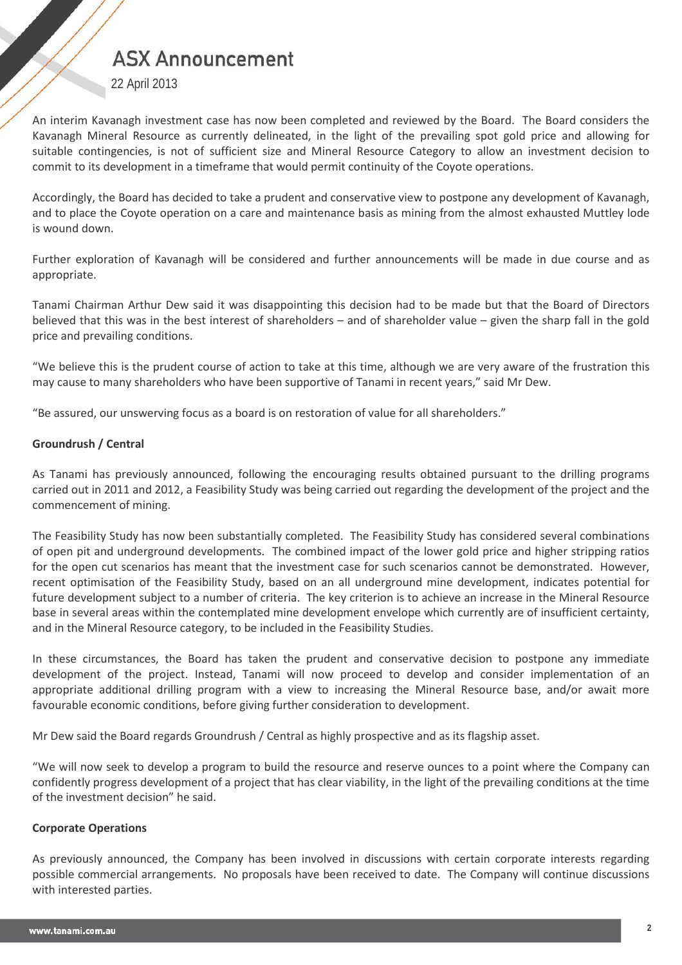## **ASX Announcement**

22 April 2013

An interim Kavanagh investment case has now been completed and reviewed by the Board. The Board considers the Kavanagh Mineral Resource as currently delineated, in the light of the prevailing spot gold price and allowing for suitable contingencies, is not of sufficient size and Mineral Resource Category to allow an investment decision to commit to its development in a timeframe that would permit continuity of the Coyote operations.

Accordingly, the Board has decided to take a prudent and conservative view to postpone any development of Kavanagh, and to place the Coyote operation on a care and maintenance basis as mining from the almost exhausted Muttley lode is wound down.

Further exploration of Kavanagh will be considered and further announcements will be made in due course and as appropriate.

Tanami Chairman Arthur Dew said it was disappointing this decision had to be made but that the Board of Directors believed that this was in the best interest of shareholders – and of shareholder value – given the sharp fall in the gold price and prevailing conditions.

"We believe this is the prudent course of action to take at this time, although we are very aware of the frustration this may cause to many shareholders who have been supportive of Tanami in recent years," said Mr Dew.

"Be assured, our unswerving focus as a board is on restoration of value for all shareholders."

### **Groundrush / Central**

As Tanami has previously announced, following the encouraging results obtained pursuant to the drilling programs carried out in 2011 and 2012, a Feasibility Study was being carried out regarding the development of the project and the commencement of mining.

The Feasibility Study has now been substantially completed. The Feasibility Study has considered several combinations of open pit and underground developments. The combined impact of the lower gold price and higher stripping ratios for the open cut scenarios has meant that the investment case for such scenarios cannot be demonstrated. However, recent optimisation of the Feasibility Study, based on an all underground mine development, indicates potential for future development subject to a number of criteria. The key criterion is to achieve an increase in the Mineral Resource base in several areas within the contemplated mine development envelope which currently are of insufficient certainty, and in the Mineral Resource category, to be included in the Feasibility Studies.

In these circumstances, the Board has taken the prudent and conservative decision to postpone any immediate development of the project. Instead, Tanami will now proceed to develop and consider implementation of an appropriate additional drilling program with a view to increasing the Mineral Resource base, and/or await more favourable economic conditions, before giving further consideration to development.

Mr Dew said the Board regards Groundrush / Central as highly prospective and as its flagship asset.

"We will now seek to develop a program to build the resource and reserve ounces to a point where the Company can confidently progress development of a project that has clear viability, in the light of the prevailing conditions at the time of the investment decision" he said.

#### **Corporate Operations**

As previously announced, the Company has been involved in discussions with certain corporate interests regarding possible commercial arrangements. No proposals have been received to date. The Company will continue discussions with interested parties.